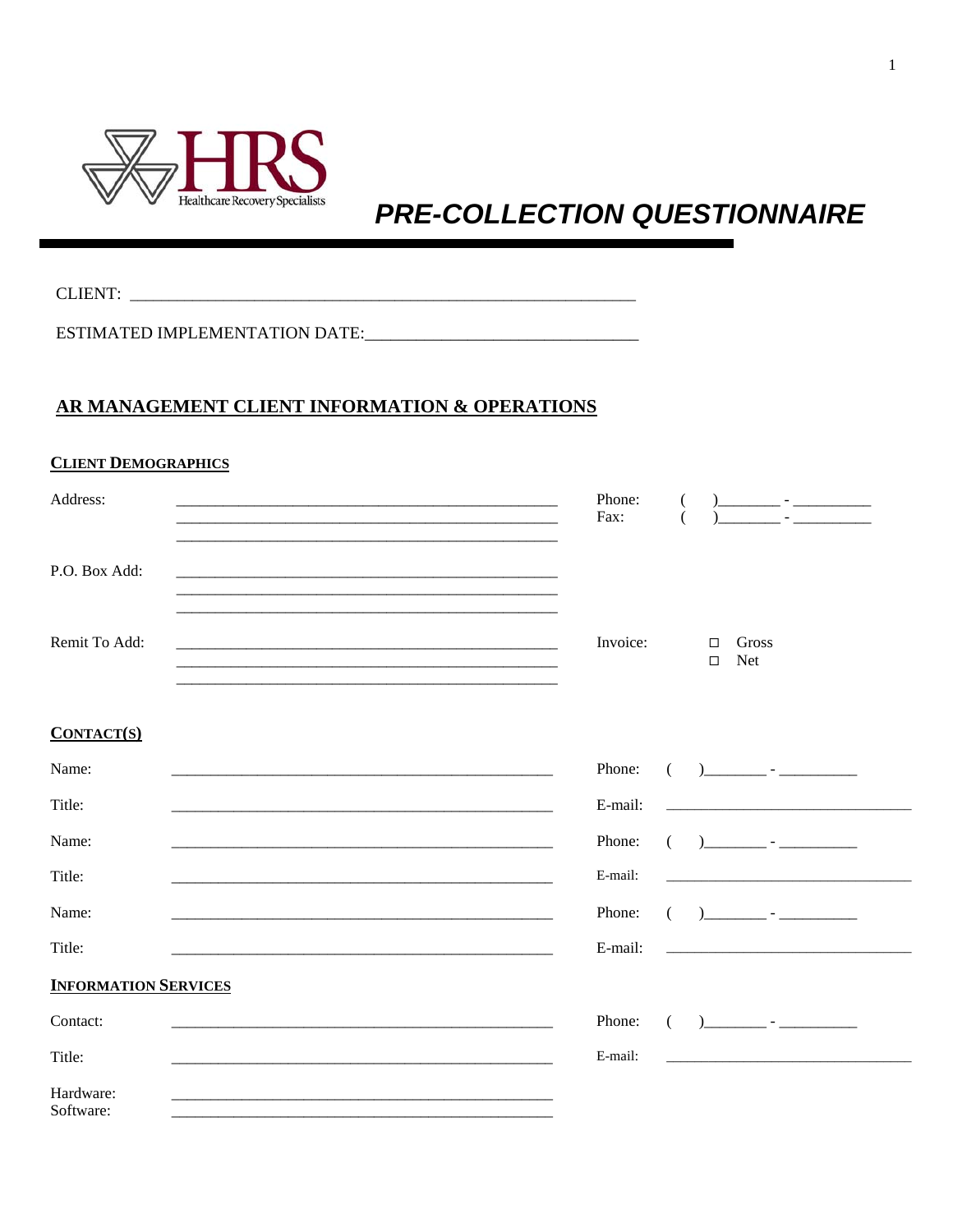

# **PRE-COLLECTION QUESTIONNAIRE**

## AR MANAGEMENT CLIENT INFORMATION & OPERATIONS

#### **CLIENT DEMOGRAPHICS**

| Address:      | Phone:<br>Fax: |                  | ) and $\frac{1}{2}$ - $\frac{1}{2}$ - $\frac{1}{2}$ - $\frac{1}{2}$ - $\frac{1}{2}$ - $\frac{1}{2}$ - $\frac{1}{2}$ - $\frac{1}{2}$ - $\frac{1}{2}$ - $\frac{1}{2}$ - $\frac{1}{2}$ - $\frac{1}{2}$ - $\frac{1}{2}$ - $\frac{1}{2}$ - $\frac{1}{2}$ - $\frac{1}{2}$ - $\frac{1}{2}$ - $\frac{1}{2}$ - |
|---------------|----------------|------------------|-------------------------------------------------------------------------------------------------------------------------------------------------------------------------------------------------------------------------------------------------------------------------------------------------------|
| P.O. Box Add: |                |                  |                                                                                                                                                                                                                                                                                                       |
| Remit To Add: | Invoice:       | $\Box$<br>$\Box$ | Gross<br>Net                                                                                                                                                                                                                                                                                          |

#### $CONTACT(S)$

| Name:                       | Phone:  |                                                                                                                                                                                                                                                                                                                     |
|-----------------------------|---------|---------------------------------------------------------------------------------------------------------------------------------------------------------------------------------------------------------------------------------------------------------------------------------------------------------------------|
| Title:                      | E-mail: | <u> 1980 - Jan Alexandro Alexander (h. 1980).</u>                                                                                                                                                                                                                                                                   |
| Name:                       | Phone:  | $\frac{1}{2}$ $\frac{1}{2}$ $\frac{1}{2}$ $\frac{1}{2}$ $\frac{1}{2}$ $\frac{1}{2}$ $\frac{1}{2}$ $\frac{1}{2}$ $\frac{1}{2}$ $\frac{1}{2}$ $\frac{1}{2}$ $\frac{1}{2}$ $\frac{1}{2}$ $\frac{1}{2}$ $\frac{1}{2}$ $\frac{1}{2}$ $\frac{1}{2}$ $\frac{1}{2}$ $\frac{1}{2}$ $\frac{1}{2}$ $\frac{1}{2}$ $\frac{1}{2}$ |
| Title:                      | E-mail: |                                                                                                                                                                                                                                                                                                                     |
| Name:                       | Phone:  | $\begin{pmatrix} 1 & 1 \\ 1 & 1 \end{pmatrix}$                                                                                                                                                                                                                                                                      |
| Title:                      | E-mail: |                                                                                                                                                                                                                                                                                                                     |
| <b>INFORMATION SERVICES</b> |         |                                                                                                                                                                                                                                                                                                                     |
| Contact:                    | Phone:  | ) and the set of $\sim$ - $\sim$ - $\sim$ - $\sim$ - $\sim$ - $\sim$ - $\sim$ - $\sim$ - $\sim$ - $\sim$ - $\sim$ - $\sim$ - $\sim$ - $\sim$ - $\sim$ - $\sim$ - $\sim$ - $\sim$ - $\sim$ - $\sim$ - $\sim$ - $\sim$ - $\sim$ - $\sim$ - $\sim$ - $\sim$ - $\sim$ - $\sim$ - $\sim$ -                               |
| Title:                      | E-mail: |                                                                                                                                                                                                                                                                                                                     |
| Hardware:<br>Software:      |         |                                                                                                                                                                                                                                                                                                                     |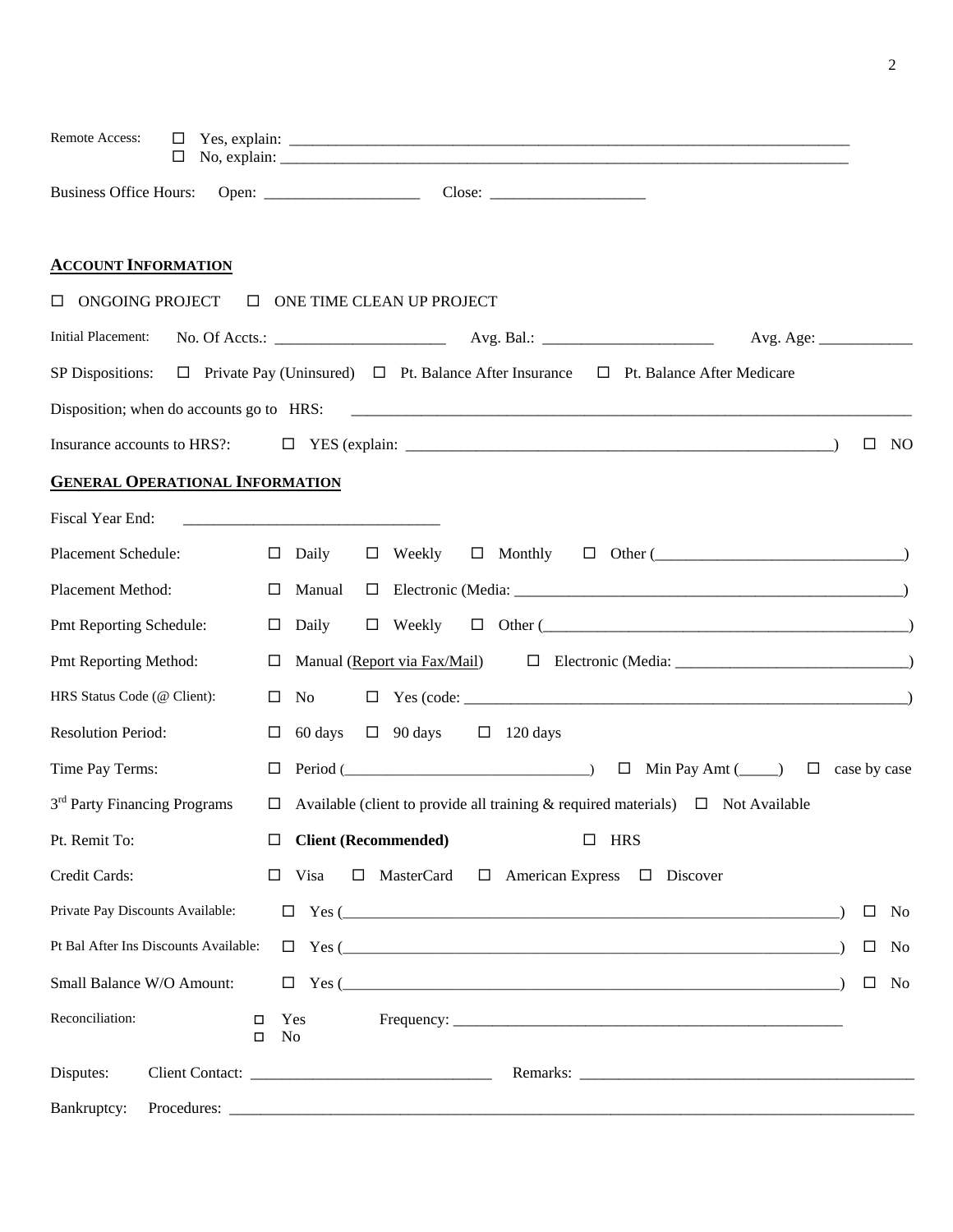| Remote Access:<br>$\Box$<br>□            |                                                                                                                      |        |     |
|------------------------------------------|----------------------------------------------------------------------------------------------------------------------|--------|-----|
|                                          |                                                                                                                      |        |     |
| <b>ACCOUNT INFORMATION</b>               |                                                                                                                      |        |     |
| ONGOING PROJECT<br>$\Box$                | <b>ONE TIME CLEAN UP PROJECT</b>                                                                                     |        |     |
| Initial Placement:                       |                                                                                                                      |        |     |
|                                          | SP Dispositions: $\Box$ Private Pay (Uninsured) $\Box$ Pt. Balance After Insurance $\Box$ Pt. Balance After Medicare |        |     |
|                                          |                                                                                                                      |        |     |
| Insurance accounts to HRS?:              |                                                                                                                      | □      | NO. |
| <b>GENERAL OPERATIONAL INFORMATION</b>   |                                                                                                                      |        |     |
| Fiscal Year End:                         | <u> 1980 - Jan Samuel Barbara, margaret e populari e programa de la programa de la programa de la programa de la</u> |        |     |
| Placement Schedule:                      | $\Box$ Monthly<br>$\Box$ Other ( $\Box$ )<br>$\Box$ Daily<br>$\Box$ Weekly                                           |        |     |
| Placement Method:                        | $\Box$ Manual                                                                                                        |        |     |
| Pmt Reporting Schedule:                  | $\Box$ Daily                                                                                                         |        |     |
| Pmt Reporting Method:                    |                                                                                                                      |        |     |
| HRS Status Code (@ Client):              | No<br>$\Box$                                                                                                         |        |     |
| <b>Resolution Period:</b>                | 60 days<br>$\Box$ 90 days<br>$\Box$<br>$\Box$ 120 days                                                               |        |     |
| Time Pay Terms:                          | $\Box$ Period ( $\Box$ Period ( $\Box$ ) $\Box$ Min Pay Amt ( $\Box$ ) $\Box$ case by case                           |        |     |
| 3 <sup>rd</sup> Party Financing Programs | $\Box$ Available (client to provide all training & required materials) $\Box$ Not Available                          |        |     |
| Pt. Remit To:                            | <b>Client (Recommended)</b><br>$\Box$ HRS<br>□                                                                       |        |     |
| Credit Cards:                            | $\Box$ MasterCard $\Box$ American Express $\Box$ Discover<br>$\Box$ Visa                                             |        |     |
| Private Pay Discounts Available:         | $\Box$ Yes (                                                                                                         | $\Box$ | No  |
| Pt Bal After Ins Discounts Available:    |                                                                                                                      | $\Box$ | No  |
| Small Balance W/O Amount:                |                                                                                                                      | $\Box$ | No  |
| Reconciliation:                          | Yes<br>□<br>N <sub>0</sub><br>$\Box$                                                                                 |        |     |
| Disputes:                                |                                                                                                                      |        |     |
| Bankruptcy:                              |                                                                                                                      |        |     |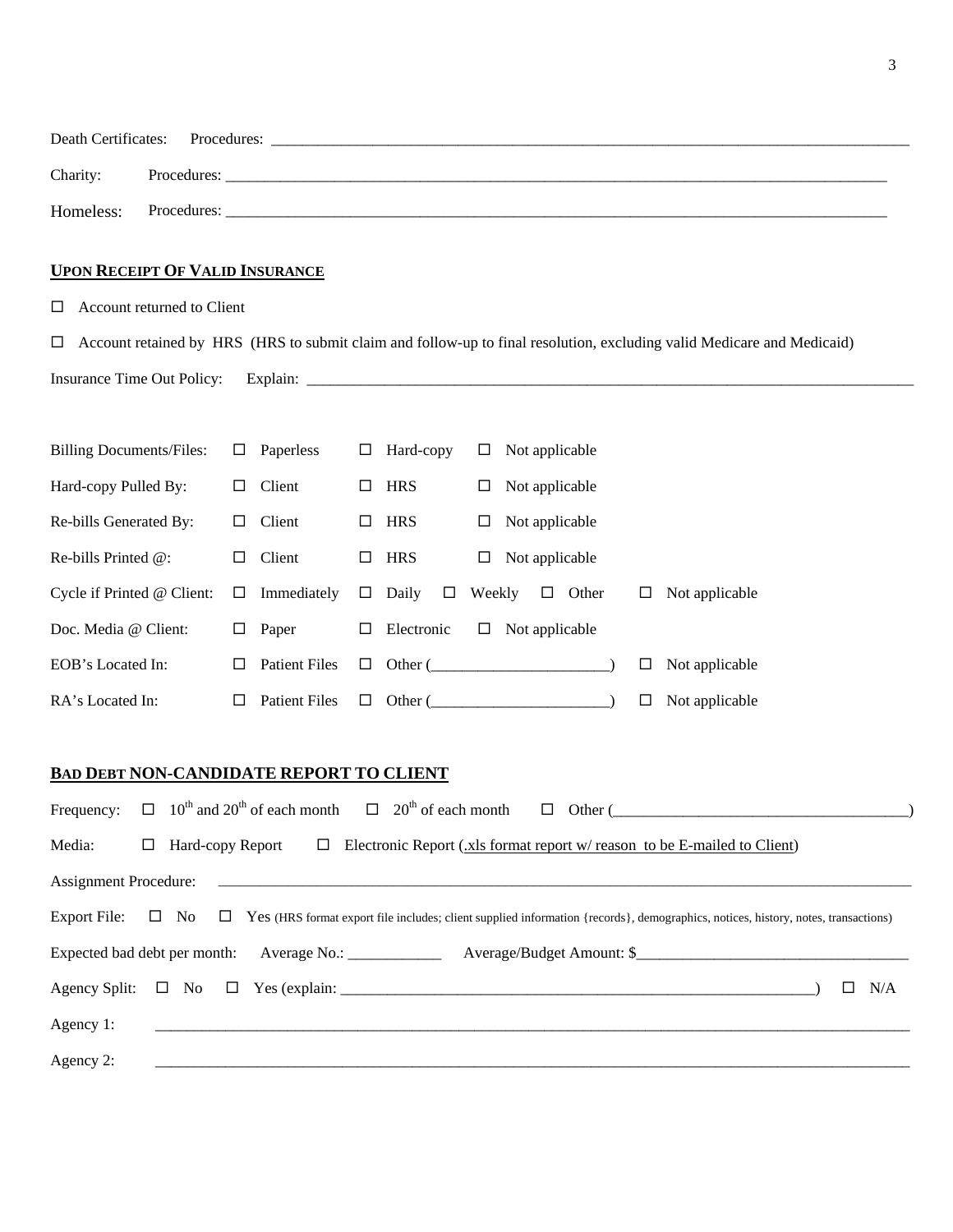|                       | Death Certificates: Procedures: |  |
|-----------------------|---------------------------------|--|
| Charity:              | Procedures:                     |  |
| Homeless: Procedures: |                                 |  |

### **UPON RECEIPT OF VALID INSURANCE**

Account returned to Client

 Account retained by HRS (HRS to submit claim and follow-up to final resolution, excluding valid Medicare and Medicaid) Insurance Time Out Policy: Explain: \_\_\_\_\_\_\_\_\_\_\_\_\_\_\_\_\_\_\_\_\_\_\_\_\_\_\_\_\_\_\_\_\_\_\_\_\_\_\_\_\_\_\_\_\_\_\_\_\_\_\_\_\_\_\_\_\_\_\_\_\_\_\_\_\_\_\_\_\_\_\_\_\_\_\_\_\_\_

| <b>Billing Documents/Files:</b>                                                                                                                                                    | $\Box$ | Paperless                                                                                        | □      | Hard-copy  | □      | Not applicable                                                                                                        |        |                |
|------------------------------------------------------------------------------------------------------------------------------------------------------------------------------------|--------|--------------------------------------------------------------------------------------------------|--------|------------|--------|-----------------------------------------------------------------------------------------------------------------------|--------|----------------|
| Hard-copy Pulled By:                                                                                                                                                               | □      | Client                                                                                           | □      | <b>HRS</b> | □      | Not applicable                                                                                                        |        |                |
| Re-bills Generated By:                                                                                                                                                             | □      | Client                                                                                           | □      | <b>HRS</b> | □      | Not applicable                                                                                                        |        |                |
| Re-bills Printed @:                                                                                                                                                                | $\Box$ | Client                                                                                           | $\Box$ | <b>HRS</b> | $\Box$ | Not applicable                                                                                                        |        |                |
| Cycle if Printed @ Client:                                                                                                                                                         | $\Box$ | Immediately                                                                                      | $\Box$ | Daily      |        | $\Box$ Weekly $\Box$ Other                                                                                            | $\Box$ | Not applicable |
| Doc. Media @ Client:                                                                                                                                                               | $\Box$ | Paper                                                                                            | $\Box$ | Electronic | $\Box$ | Not applicable                                                                                                        |        |                |
| EOB's Located In:                                                                                                                                                                  | □      | <b>Patient Files</b>                                                                             | $\Box$ |            |        | Other $(\_)$                                                                                                          | □      | Not applicable |
| RA's Located In:                                                                                                                                                                   | $\Box$ | <b>Patient Files</b>                                                                             | $\Box$ |            |        | Other $(\_)$                                                                                                          | □      | Not applicable |
| <b>BAD DEBT NON-CANDIDATE REPORT TO CLIENT</b>                                                                                                                                     |        |                                                                                                  |        |            |        |                                                                                                                       |        |                |
| Frequency:                                                                                                                                                                         |        | $\Box$ 10 <sup>th</sup> and 20 <sup>th</sup> of each month $\Box$ 20 <sup>th</sup> of each month |        |            |        |                                                                                                                       |        |                |
| Media:<br>Electronic Report (xls format report w/ reason to be E-mailed to Client)<br>Hard-copy Report<br>$\Box$<br>□                                                              |        |                                                                                                  |        |            |        |                                                                                                                       |        |                |
| <b>Assignment Procedure:</b>                                                                                                                                                       |        |                                                                                                  |        |            |        |                                                                                                                       |        |                |
| <b>Export File:</b><br>$\square$ No<br>Yes (HRS format export file includes; client supplied information {records}, demographics, notices, history, notes, transactions)<br>$\Box$ |        |                                                                                                  |        |            |        |                                                                                                                       |        |                |
|                                                                                                                                                                                    |        |                                                                                                  |        |            |        |                                                                                                                       |        |                |
| Agency Split:<br>$\Box$ No $\Box$ Yes (explain:<br>N/A<br>□                                                                                                                        |        |                                                                                                  |        |            |        |                                                                                                                       |        |                |
| Agency 1:                                                                                                                                                                          |        |                                                                                                  |        |            |        | <u> 1989 - Johann Harry Harry Harry Harry Harry Harry Harry Harry Harry Harry Harry Harry Harry Harry Harry Harry</u> |        |                |
| Agency 2:                                                                                                                                                                          |        |                                                                                                  |        |            |        |                                                                                                                       |        |                |